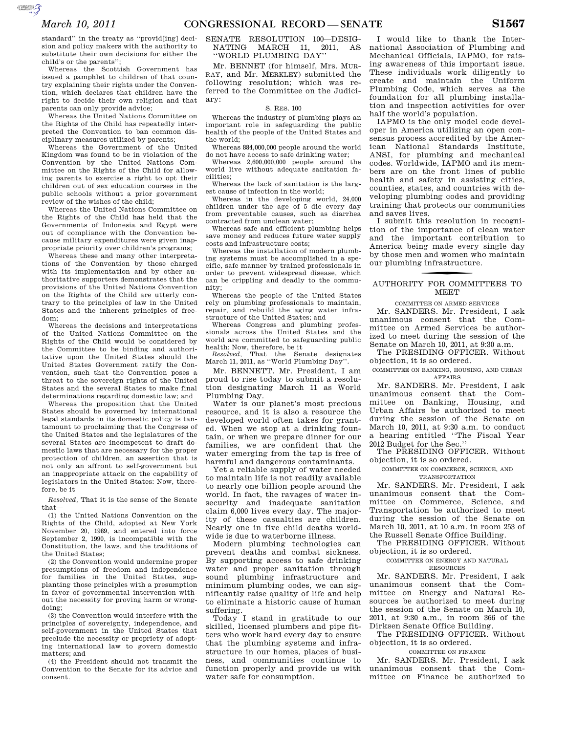standard'' in the treaty as ''provid[ing] decision and policy makers with the authority to substitute their own decisions for either the child's or the parents'';

Whereas the Scottish Government has issued a pamphlet to children of that country explaining their rights under the Convention, which declares that children have the right to decide their own religion and that parents can only provide advice;

Whereas the United Nations Committee on the Rights of the Child has repeatedly interpreted the Convention to ban common disciplinary measures utilized by parents;

Whereas the Government of the United Kingdom was found to be in violation of the Convention by the United Nations Committee on the Rights of the Child for allowing parents to exercise a right to opt their children out of sex education courses in the public schools without a prior government review of the wishes of the child;

Whereas the United Nations Committee on the Rights of the Child has held that the Governments of Indonesia and Egypt were out of compliance with the Convention because military expenditures were given inappropriate priority over children's programs;

Whereas these and many other interpretations of the Convention by those charged with its implementation and by other authoritative supporters demonstrates that the provisions of the United Nations Convention on the Rights of the Child are utterly contrary to the principles of law in the United States and the inherent principles of freedom;

Whereas the decisions and interpretations of the United Nations Committee on the Rights of the Child would be considered by the Committee to be binding and authoritative upon the United States should the United States Government ratify the Convention, such that the Convention poses a threat to the sovereign rights of the United States and the several States to make final determinations regarding domestic law; and

Whereas the proposition that the United States should be governed by international legal standards in its domestic policy is tantamount to proclaiming that the Congress of the United States and the legislatures of the several States are incompetent to draft domestic laws that are necessary for the proper protection of children, an assertion that is not only an affront to self-government but an inappropriate attack on the capability of legislators in the United States: Now, therefore, be it

*Resolved,* That it is the sense of the Senate that—

(1) the United Nations Convention on the Rights of the Child, adopted at New York November 20, 1989, and entered into force September 2, 1990, is incompatible with the Constitution, the laws, and the traditions of the United States;

(2) the Convention would undermine proper presumptions of freedom and independence for families in the United States, supplanting those principles with a presumption in favor of governmental intervention without the necessity for proving harm or wrongdoing;

(3) the Convention would interfere with the principles of sovereignty, independence, and self-government in the United States that preclude the necessity or propriety of adopting international law to govern domestic matters; and

(4) the President should not transmit the Convention to the Senate for its advice and consent.

### SENATE RESOLUTION 100—DESIG-NATING MARCH 11, 2011, AS ''WORLD PLUMBING DAY''

Mr. BENNET (for himself, Mrs. MUR-RAY, and Mr. MERKLEY) submitted the following resolution; which was referred to the Committee on the Judiciary:

### S. RES. 100

Whereas the industry of plumbing plays an important role in safeguarding the public health of the people of the United States and the world;

Whereas 884,000,000 people around the world do not have access to safe drinking water;

Whereas 2,600,000,000 people around the world live without adequate sanitation facilities;

Whereas the lack of sanitation is the largest cause of infection in the world;

Whereas in the developing world, 24,000 children under the age of 5 die every day from preventable causes, such as diarrhea contracted from unclean water;

Whereas safe and efficient plumbing helps save money and reduces future water supply costs and infrastructure costs;

Whereas the installation of modern plumbing systems must be accomplished in a specific, safe manner by trained professionals in order to prevent widespread disease, which can be crippling and deadly to the community;

Whereas the people of the United States rely on plumbing professionals to maintain, repair, and rebuild the aging water infrastructure of the United States; and

Whereas Congress and plumbing professionals across the United States and the world are committed to safeguarding public health: Now, therefore, be it *Resolved,* That the Senate designates

March 11, 2011, as ''World Plumbing Day''.

Mr. BENNETT. Mr. President, I am proud to rise today to submit a resolution designating March 11 as World Plumbing Day.

Water is our planet's most precious resource, and it is also a resource the developed world often takes for granted. When we stop at a drinking fountain, or when we prepare dinner for our families, we are confident that the water emerging from the tap is free of harmful and dangerous contaminants.

Yet a reliable supply of water needed to maintain life is not readily available to nearly one billion people around the world. In fact, the ravages of water insecurity and inadequate sanitation claim 6,000 lives every day. The majority of these casualties are children. Nearly one in five child deaths worldwide is due to waterborne illness.

Modern plumbing technologies can prevent deaths and combat sickness. By supporting access to safe drinking water and proper sanitation through sound plumbing infrastructure and minimum plumbing codes, we can significantly raise quality of life and help to eliminate a historic cause of human suffering.

Today I stand in gratitude to our skilled, licensed plumbers and pipe fitters who work hard every day to ensure that the plumbing systems and infrastructure in our homes, places of business, and communities continue to function properly and provide us with water safe for consumption.

I would like to thank the International Association of Plumbing and Mechanical Officials, IAPMO, for raising awareness of this important issue. These individuals work diligently to create and maintain the Uniform Plumbing Code, which serves as the foundation for all plumbing installation and inspection activities for over half the world's population.

IAPMO is the only model code developer in America utilizing an open consensus process accredited by the American National Standards Institute, ANSI, for plumbing and mechanical codes. Worldwide, IAPMO and its members are on the front lines of public health and safety in assisting cities, counties, states, and countries with developing plumbing codes and providing training that protects our communities and saves lives.

I submit this resolution in recognition of the importance of clean water and the important contribution to America being made every single day by those men and women who maintain our plumbing infrastructure.

## f AUTHORITY FOR COMMITTEES TO MEET

COMMITTEE ON ARMED SERVICES

Mr. SANDERS. Mr. President, I ask unanimous consent that the Committee on Armed Services be authorized to meet during the session of the Senate on March 10, 2011, at 9:30 a.m.

The PRESIDING OFFICER. Without objection, it is so ordered.

COMMITTEE ON BANKING, HOUSING, AND URBAN AFFAIRS

Mr. SANDERS. Mr. President, I ask unanimous consent that the Committee on Banking, Housing, and Urban Affairs be authorized to meet during the session of the Senate on March 10, 2011, at 9:30 a.m. to conduct a hearing entitled ''The Fiscal Year 2012 Budget for the Sec.''

The PRESIDING OFFICER. Without objection, it is so ordered.

COMMITTEE ON COMMERCE, SCIENCE, AND TRANSPORTATION

Mr. SANDERS. Mr. President, I ask unanimous consent that the Committee on Commerce, Science, and Transportation be authorized to meet during the session of the Senate on March 10, 2011, at 10 a.m. in room 253 of the Russell Senate Office Building.

The PRESIDING OFFICER. Without objection, it is so ordered.

COMMITTEE ON ENERGY AND NATURAL RESOURCES

Mr. SANDERS. Mr. President, I ask unanimous consent that the Committee on Energy and Natural Resources be authorized to meet during the session of the Senate on March 10, 2011, at 9:30 a.m., in room 366 of the Dirksen Senate Office Building.

The PRESIDING OFFICER. Without objection, it is so ordered.

COMMITTEE ON FINANCE

Mr. SANDERS. Mr. President, I ask unanimous consent that the Committee on Finance be authorized to